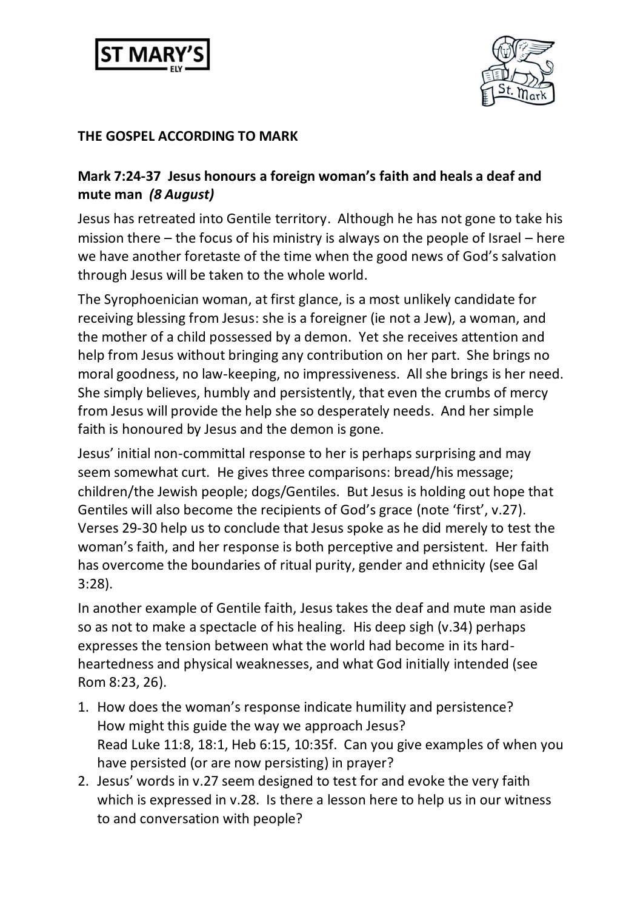



## **THE GOSPEL ACCORDING TO MARK**

## **Mark 7:24-37 Jesus honours a foreign woman's faith and heals a deaf and mute man** *(8 August)*

Jesus has retreated into Gentile territory. Although he has not gone to take his mission there – the focus of his ministry is always on the people of Israel – here we have another foretaste of the time when the good news of God's salvation through Jesus will be taken to the whole world.

The Syrophoenician woman, at first glance, is a most unlikely candidate for receiving blessing from Jesus: she is a foreigner (ie not a Jew), a woman, and the mother of a child possessed by a demon. Yet she receives attention and help from Jesus without bringing any contribution on her part. She brings no moral goodness, no law-keeping, no impressiveness. All she brings is her need. She simply believes, humbly and persistently, that even the crumbs of mercy from Jesus will provide the help she so desperately needs. And her simple faith is honoured by Jesus and the demon is gone.

Jesus' initial non-committal response to her is perhaps surprising and may seem somewhat curt. He gives three comparisons: bread/his message; children/the Jewish people; dogs/Gentiles. But Jesus is holding out hope that Gentiles will also become the recipients of God's grace (note 'first', v.27). Verses 29-30 help us to conclude that Jesus spoke as he did merely to test the woman's faith, and her response is both perceptive and persistent. Her faith has overcome the boundaries of ritual purity, gender and ethnicity (see Gal 3:28).

In another example of Gentile faith, Jesus takes the deaf and mute man aside so as not to make a spectacle of his healing. His deep sigh (v.34) perhaps expresses the tension between what the world had become in its hardheartedness and physical weaknesses, and what God initially intended (see Rom 8:23, 26).

- 1. How does the woman's response indicate humility and persistence? How might this guide the way we approach Jesus? Read Luke 11:8, 18:1, Heb 6:15, 10:35f. Can you give examples of when you have persisted (or are now persisting) in prayer?
- 2. Jesus' words in v.27 seem designed to test for and evoke the very faith which is expressed in v.28. Is there a lesson here to help us in our witness to and conversation with people?